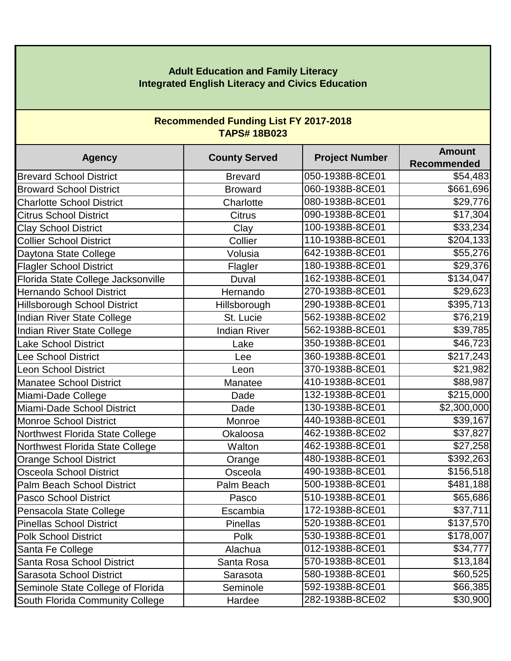## **Adult Education and Family Literacy Integrated English Literacy and Civics Education**

## **Recommended Funding List FY 2017-2018 TAPS# 18B023**

| <b>Agency</b>                      | <b>County Served</b> | <b>Project Number</b> | <b>Amount</b><br><b>Recommended</b> |
|------------------------------------|----------------------|-----------------------|-------------------------------------|
| <b>Brevard School District</b>     | <b>Brevard</b>       | 050-1938B-8CE01       | \$54,483                            |
| <b>Broward School District</b>     | <b>Broward</b>       | 060-1938B-8CE01       | \$661,696                           |
| <b>Charlotte School District</b>   | Charlotte            | 080-1938B-8CE01       | \$29,776                            |
| <b>Citrus School District</b>      | <b>Citrus</b>        | 090-1938B-8CE01       | \$17,304                            |
| <b>Clay School District</b>        | Clay                 | 100-1938B-8CE01       | \$33,234                            |
| <b>Collier School District</b>     | Collier              | 110-1938B-8CE01       | \$204,133                           |
| Daytona State College              | Volusia              | 642-1938B-8CE01       | \$55,276                            |
| <b>Flagler School District</b>     | Flagler              | 180-1938B-8CE01       | \$29,376                            |
| Florida State College Jacksonville | Duval                | 162-1938B-8CE01       | \$134,047                           |
| <b>Hernando School District</b>    | Hernando             | 270-1938B-8CE01       | \$29,623                            |
| Hillsborough School District       | Hillsborough         | 290-1938B-8CE01       | \$395,713                           |
| Indian River State College         | St. Lucie            | 562-1938B-8CE02       | \$76,219                            |
| Indian River State College         | <b>Indian River</b>  | 562-1938B-8CE01       | \$39,785                            |
| <b>Lake School District</b>        | Lake                 | 350-1938B-8CE01       | \$46,723                            |
| <b>Lee School District</b>         | Lee                  | 360-1938B-8CE01       | \$217,243                           |
| <b>Leon School District</b>        | Leon                 | 370-1938B-8CE01       | \$21,982                            |
| <b>Manatee School District</b>     | Manatee              | 410-1938B-8CE01       | \$88,987                            |
| Miami-Dade College                 | Dade                 | 132-1938B-8CE01       | \$215,000                           |
| Miami-Dade School District         | Dade                 | 130-1938B-8CE01       | \$2,300,000                         |
| <b>Monroe School District</b>      | Monroe               | 440-1938B-8CE01       | \$39,167                            |
| Northwest Florida State College    | Okaloosa             | 462-1938B-8CE02       | \$37,827                            |
| Northwest Florida State College    | Walton               | 462-1938B-8CE01       | \$27,258                            |
| <b>Orange School District</b>      | Orange               | 480-1938B-8CE01       | \$392,263                           |
| <b>Osceola School District</b>     | Osceola              | 490-1938B-8CE01       | \$156,518                           |
| Palm Beach School District         | Palm Beach           | 500-1938B-8CE01       | \$481,188                           |
| <b>Pasco School District</b>       | Pasco                | 510-1938B-8CE01       | \$65,686                            |
| Pensacola State College            | Escambia             | 172-1938B-8CE01       | \$37,711                            |
| <b>Pinellas School District</b>    | Pinellas             | 520-1938B-8CE01       | \$137,570                           |
| <b>Polk School District</b>        | Polk                 | 530-1938B-8CE01       | \$178,007                           |
| Santa Fe College                   | Alachua              | 012-1938B-8CE01       | \$34,777                            |
| Santa Rosa School District         | Santa Rosa           | 570-1938B-8CE01       | \$13,184                            |
| Sarasota School District           | Sarasota             | 580-1938B-8CE01       | \$60,525                            |
| Seminole State College of Florida  | Seminole             | 592-1938B-8CE01       | \$66,385                            |
| South Florida Community College    | Hardee               | 282-1938B-8CE02       | \$30,900                            |